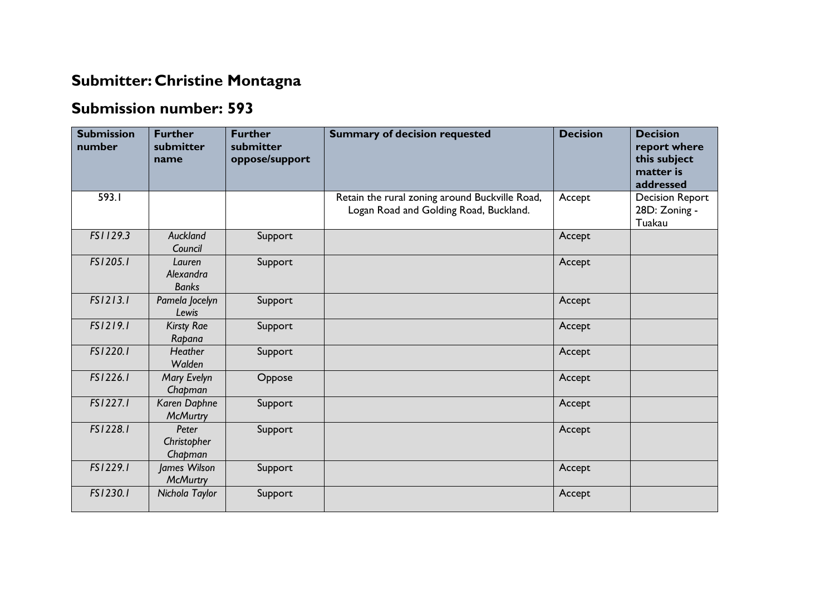## **Submitter: Christine Montagna**

## **Submission number: 593**

| <b>Submission</b><br>number | <b>Further</b><br>submitter<br>name | <b>Further</b><br>submitter<br>oppose/support | <b>Summary of decision requested</b>                                                     | <b>Decision</b> | <b>Decision</b><br>report where<br>this subject<br>matter is<br>addressed |
|-----------------------------|-------------------------------------|-----------------------------------------------|------------------------------------------------------------------------------------------|-----------------|---------------------------------------------------------------------------|
| 593.I                       |                                     |                                               | Retain the rural zoning around Buckville Road,<br>Logan Road and Golding Road, Buckland. | Accept          | <b>Decision Report</b><br>28D: Zoning -<br>Tuakau                         |
| FS1129.3                    | <b>Auckland</b><br>Council          | Support                                       |                                                                                          | Accept          |                                                                           |
| FS1205.1                    | Lauren<br>Alexandra<br><b>Banks</b> | Support                                       |                                                                                          | Accept          |                                                                           |
| FS1213.1                    | Pamela Jocelyn<br>Lewis             | Support                                       |                                                                                          | Accept          |                                                                           |
| FS1219.1                    | <b>Kirsty Rae</b><br>Rapana         | Support                                       |                                                                                          | Accept          |                                                                           |
| FS1220.1                    | Heather<br>Walden                   | Support                                       |                                                                                          | Accept          |                                                                           |
| FS1226.1                    | Mary Evelyn<br>Chapman              | Oppose                                        |                                                                                          | Accept          |                                                                           |
| FS1227.1                    | Karen Daphne<br><b>McMurtry</b>     | Support                                       |                                                                                          | Accept          |                                                                           |
| FS1228.1                    | Peter<br>Christopher<br>Chapman     | Support                                       |                                                                                          | Accept          |                                                                           |
| FS1229.1                    | James Wilson<br><b>McMurtry</b>     | Support                                       |                                                                                          | Accept          |                                                                           |
| FS1230.1                    | Nichola Taylor                      | Support                                       |                                                                                          | Accept          |                                                                           |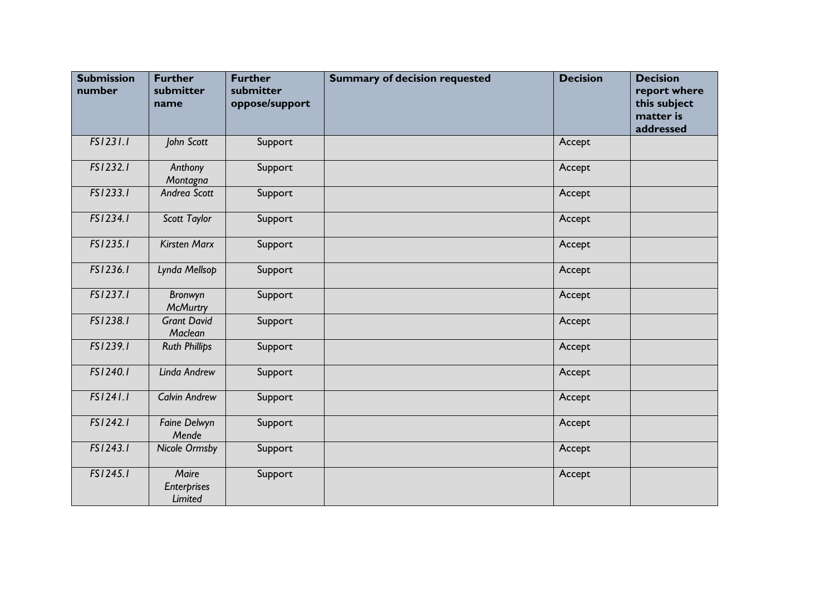| <b>Submission</b><br>number | <b>Further</b><br>submitter<br>name           | <b>Further</b><br>submitter<br>oppose/support | <b>Summary of decision requested</b> | <b>Decision</b> | <b>Decision</b><br>report where<br>this subject<br>matter is<br>addressed |
|-----------------------------|-----------------------------------------------|-----------------------------------------------|--------------------------------------|-----------------|---------------------------------------------------------------------------|
| FS1231.1                    | John Scott                                    | Support                                       |                                      | Accept          |                                                                           |
| FS1232.1                    | Anthony<br>Montagna                           | Support                                       |                                      | Accept          |                                                                           |
| FS1233.1                    | Andrea Scott                                  | Support                                       |                                      | Accept          |                                                                           |
| FS1234.1                    | Scott Taylor                                  | Support                                       |                                      | Accept          |                                                                           |
| FS1235.1                    | <b>Kirsten Marx</b>                           | Support                                       |                                      | Accept          |                                                                           |
| FS1236.1                    | Lynda Mellsop                                 | Support                                       |                                      | Accept          |                                                                           |
| FS1237.1                    | Bronwyn<br><b>McMurtry</b>                    | Support                                       |                                      | Accept          |                                                                           |
| FS1238.1                    | <b>Grant David</b><br>Maclean                 | Support                                       |                                      | Accept          |                                                                           |
| FS1239.1                    | <b>Ruth Phillips</b>                          | Support                                       |                                      | Accept          |                                                                           |
| FS1240.1                    | Linda Andrew                                  | Support                                       |                                      | Accept          |                                                                           |
| FS1241.1                    | <b>Calvin Andrew</b>                          | Support                                       |                                      | Accept          |                                                                           |
| FS1242.1                    | Faine Delwyn<br>Mende                         | Support                                       |                                      | Accept          |                                                                           |
| FS1243.1                    | <b>Nicole Ormsby</b>                          | Support                                       |                                      | Accept          |                                                                           |
| FS1245.1                    | Maire<br><b>Enterprises</b><br><b>Limited</b> | Support                                       |                                      | Accept          |                                                                           |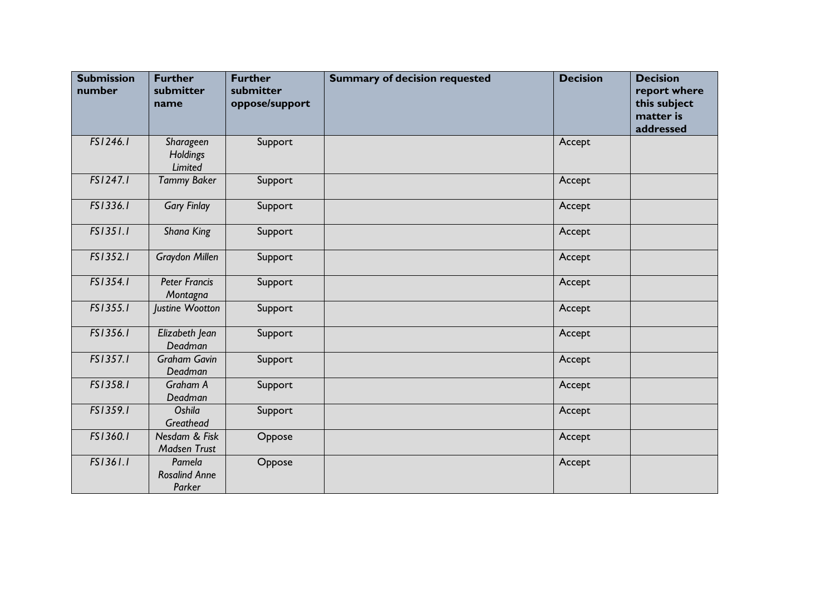| <b>Submission</b><br>number | <b>Further</b><br>submitter<br>name      | <b>Further</b><br>submitter<br>oppose/support | <b>Summary of decision requested</b> | <b>Decision</b> | <b>Decision</b><br>report where<br>this subject<br>matter is<br>addressed |
|-----------------------------|------------------------------------------|-----------------------------------------------|--------------------------------------|-----------------|---------------------------------------------------------------------------|
| FS1246.1                    | Sharageen<br>Holdings<br>Limited         | Support                                       |                                      | Accept          |                                                                           |
| FS1247.1                    | <b>Tammy Baker</b>                       | Support                                       |                                      | Accept          |                                                                           |
| FS1336.1                    | <b>Gary Finlay</b>                       | Support                                       |                                      | Accept          |                                                                           |
| FS1351.1                    | Shana King                               | Support                                       |                                      | Accept          |                                                                           |
| FS1352.1                    | Graydon Millen                           | Support                                       |                                      | Accept          |                                                                           |
| FS1354.1                    | <b>Peter Francis</b><br>Montagna         | Support                                       |                                      | Accept          |                                                                           |
| FS1355.1                    | Justine Wootton                          | Support                                       |                                      | Accept          |                                                                           |
| FS1356.1                    | Elizabeth Jean<br>Deadman                | Support                                       |                                      | Accept          |                                                                           |
| FS1357.1                    | <b>Graham Gavin</b><br>Deadman           | Support                                       |                                      | Accept          |                                                                           |
| FS1358.1                    | Graham A<br>Deadman                      | Support                                       |                                      | Accept          |                                                                           |
| FS1359.1                    | Oshila<br>Greathead                      | Support                                       |                                      | Accept          |                                                                           |
| FS1360.1                    | Nesdam & Fisk<br><b>Madsen Trust</b>     | Oppose                                        |                                      | Accept          |                                                                           |
| FS1361.1                    | Pamela<br><b>Rosalind Anne</b><br>Parker | Oppose                                        |                                      | Accept          |                                                                           |